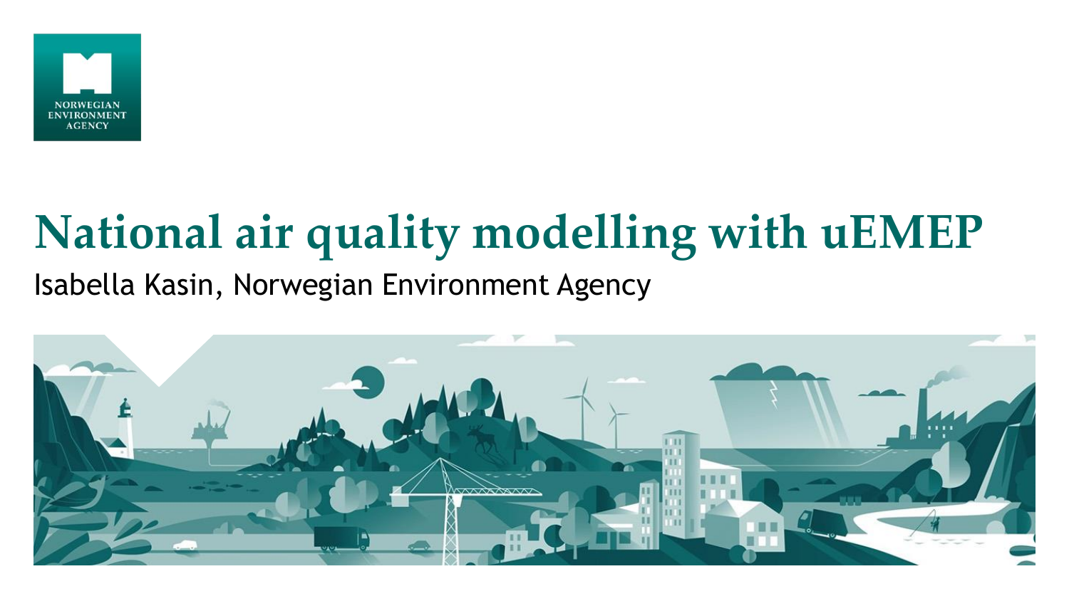

#### **National air quality modelling with uEMEP** Isabella Kasin, Norwegian Environment Agency

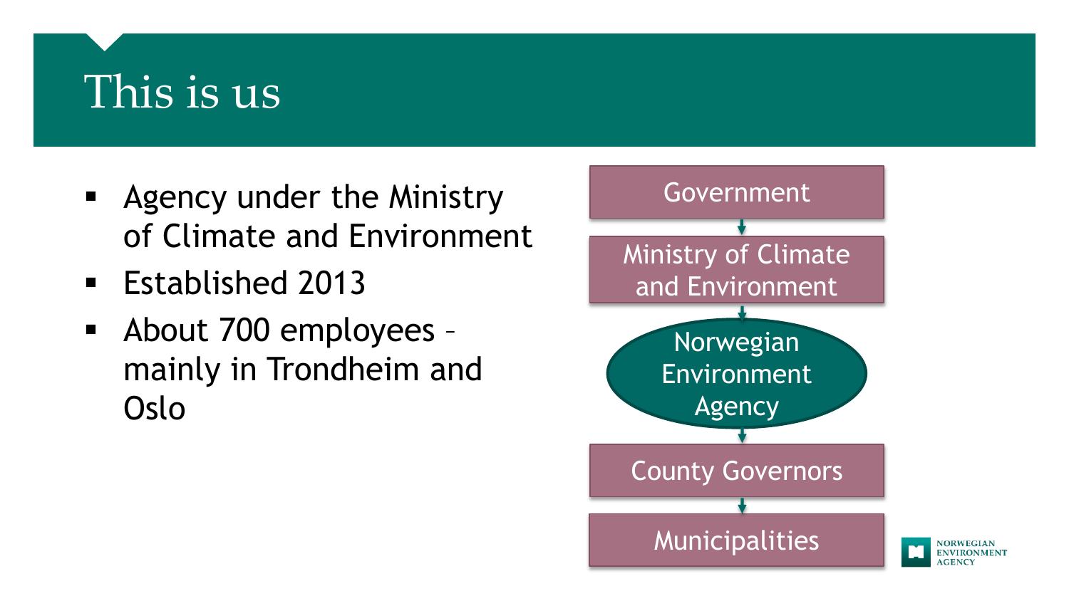#### This is us

- **Agency under the Ministry** of Climate and Environment
- Established 2013
- About 700 employees mainly in Trondheim and Oslo

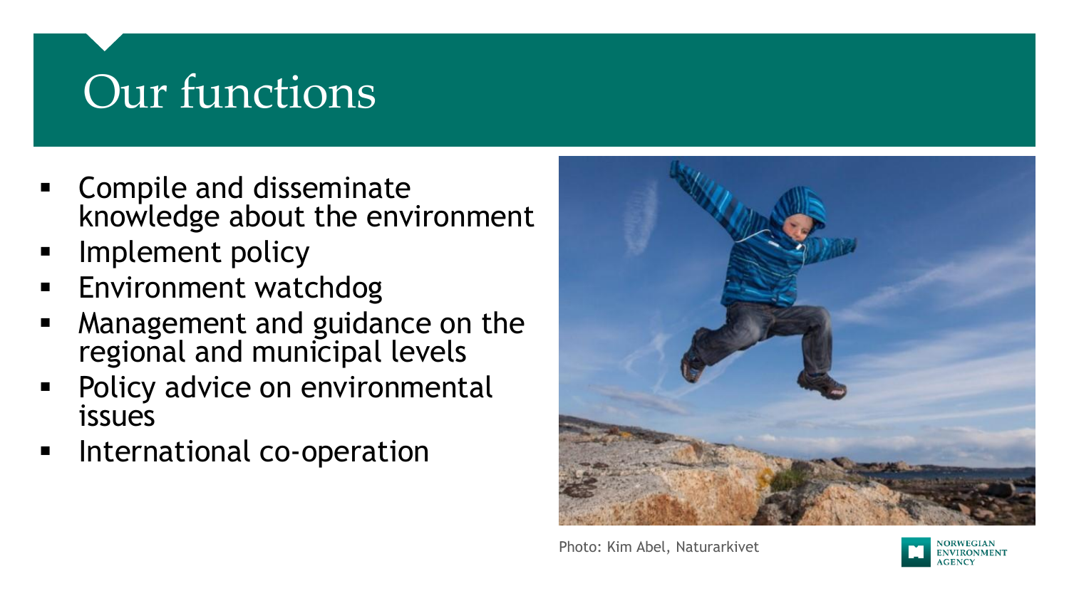# Our functions

- **EX Compile and disseminate** knowledge about the environment
- Implement policy
- **Environment watchdog**
- Management and guidance on the regional and municipal levels
- Policy advice on environmental issues
- International co-operation



Photo: Kim Abel, Naturarkivet

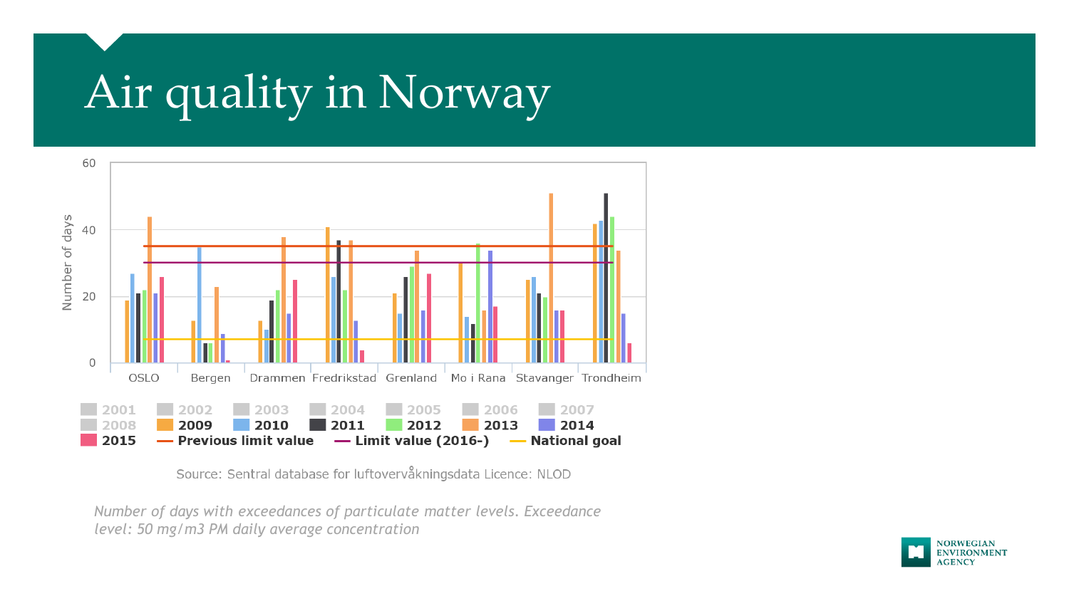# Air quality in Norway



Source: Sentral database for luftovervåkningsdata Licence: NLOD

*Number of days with exceedances of particulate matter levels. Exceedance level: 50 mg/m3 PM daily average concentration*

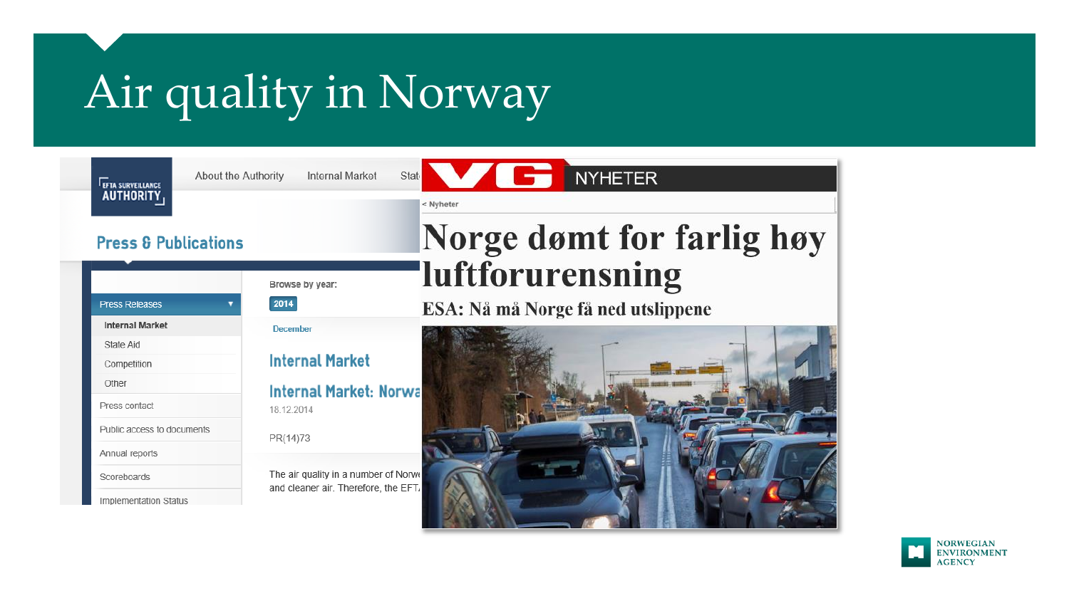# Air quality in Norway



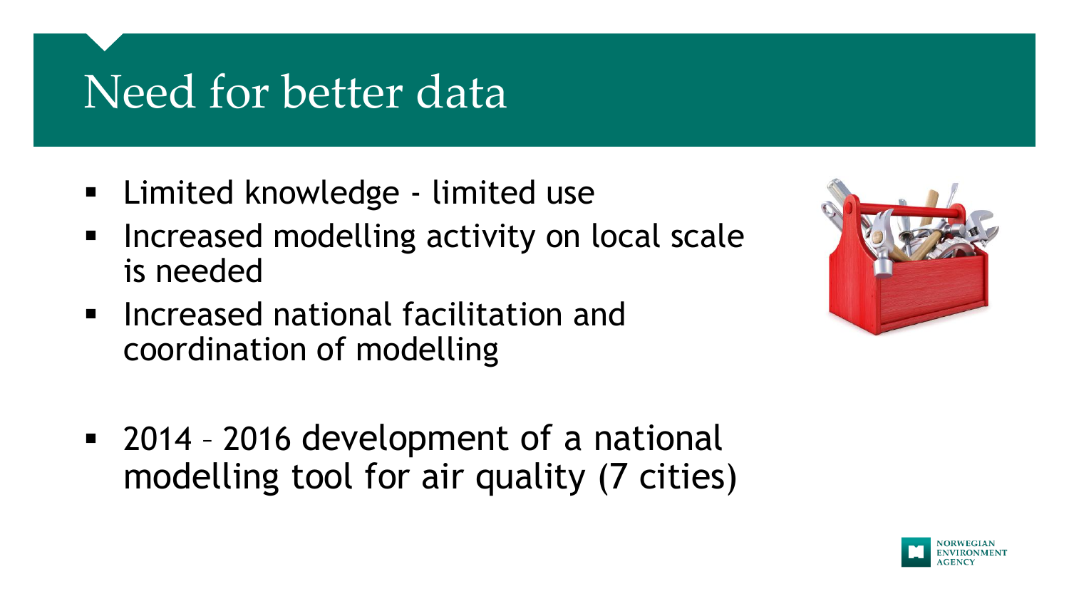## Need for better data

- Limited knowledge limited use
- Increased modelling activity on local scale is needed
- **Increased national facilitation and** coordination of modelling
- 2014 2016 development of a national modelling tool for air quality (7 cities)



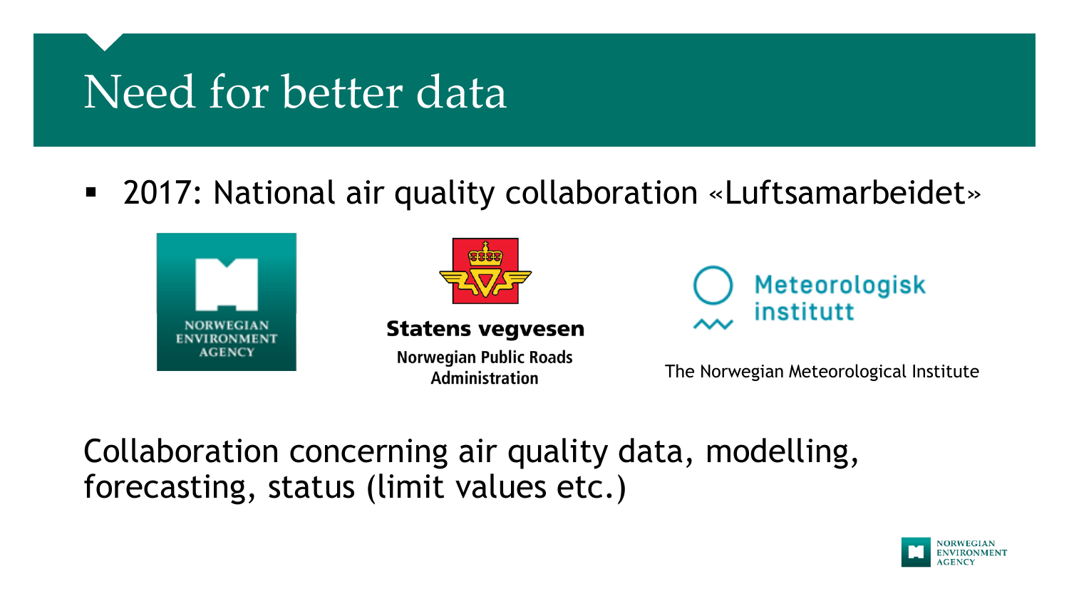## Need for better data

2017: National air quality collaboration «Luftsamarbeidet»





**Statens vegvesen** 

**Norwegian Public Roads Administration** 



The Norwegian Meteorological Institute

Collaboration concerning air quality data, modelling, forecasting, status (limit values etc.)

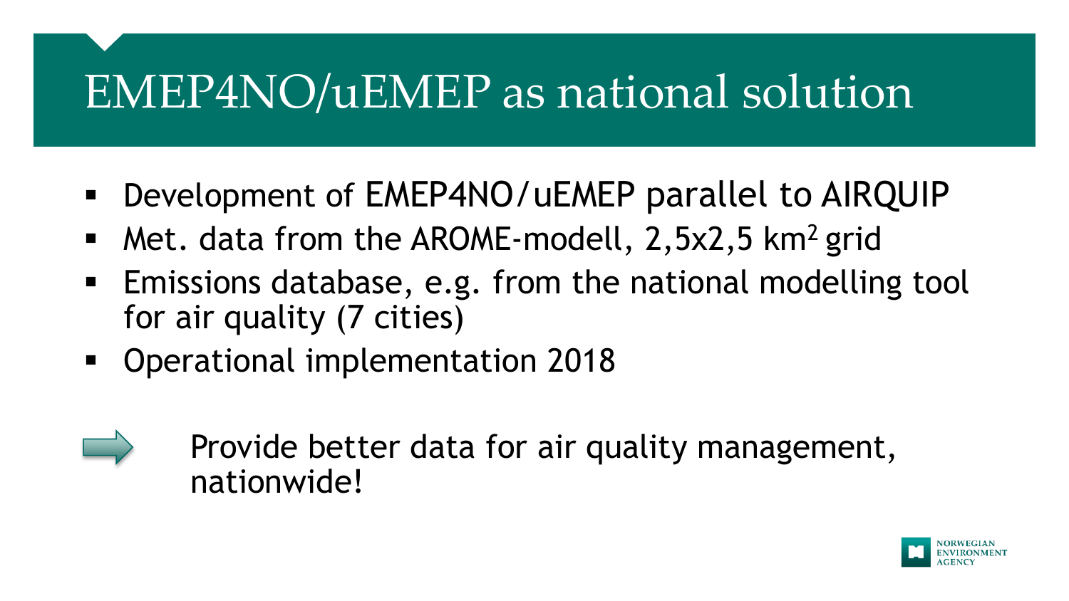### EMEP4NO/uEMEP as national solution

- Development of EMEP4NO/uEMEP parallel to AIRQUIP
- Met. data from the AROME-modell,  $2,5x2,5$  km<sup>2</sup> grid
- Emissions database, e.g. from the national modelling tool for air quality (7 cities)
- Operational implementation 2018
- 

Provide better data for air quality management, nationwide!

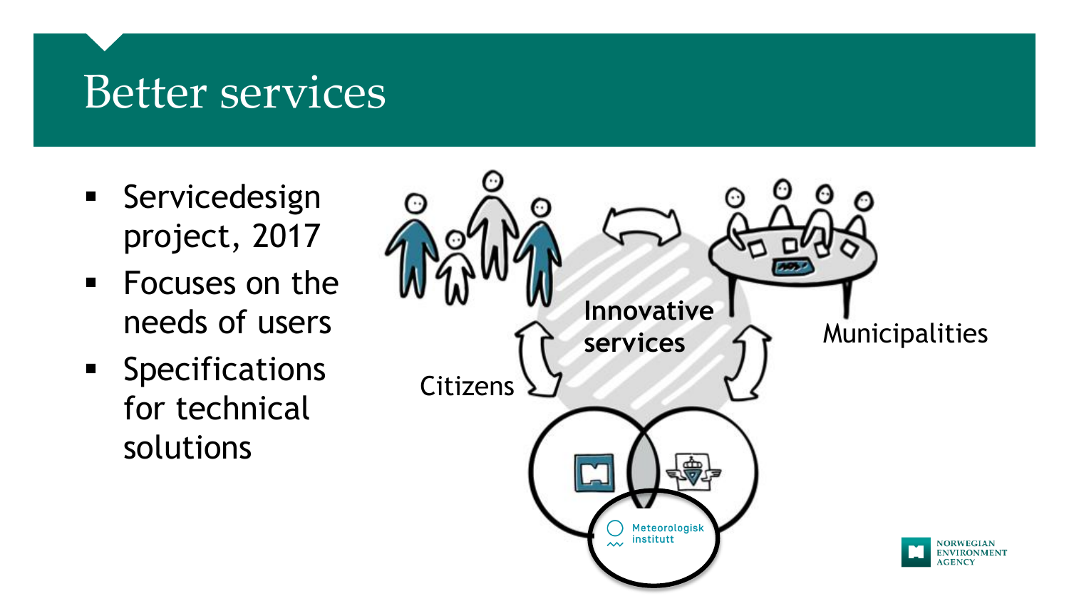#### Better services

- **Servicedesign** project, 2017
- Focuses on the needs of users
- **Specifications** for technical solutions